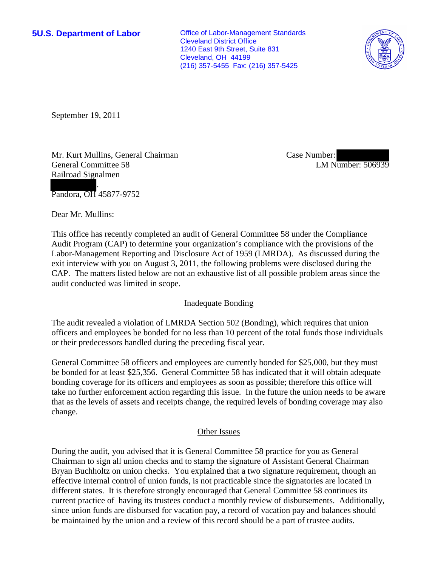**5U.S. Department of Labor Office of Labor-Management Standards** Cleveland District Office 1240 East 9th Street, Suite 831 Cleveland, OH 44199 (216) 357-5455 Fax: (216) 357-5425



September 19, 2011

Mr. Kurt Mullins, General Chairman General Committee 58 Railroad Signalmen

Case Number: LM Number: 506939

. Pandora, OH 45877-9752

Dear Mr. Mullins:

This office has recently completed an audit of General Committee 58 under the Compliance Audit Program (CAP) to determine your organization's compliance with the provisions of the Labor-Management Reporting and Disclosure Act of 1959 (LMRDA). As discussed during the exit interview with you on August 3, 2011, the following problems were disclosed during the CAP. The matters listed below are not an exhaustive list of all possible problem areas since the audit conducted was limited in scope.

## Inadequate Bonding

The audit revealed a violation of LMRDA Section 502 (Bonding), which requires that union officers and employees be bonded for no less than 10 percent of the total funds those individuals or their predecessors handled during the preceding fiscal year.

General Committee 58 officers and employees are currently bonded for \$25,000, but they must be bonded for at least \$25,356. General Committee 58 has indicated that it will obtain adequate bonding coverage for its officers and employees as soon as possible; therefore this office will take no further enforcement action regarding this issue. In the future the union needs to be aware that as the levels of assets and receipts change, the required levels of bonding coverage may also change.

## Other Issues

During the audit, you advised that it is General Committee 58 practice for you as General Chairman to sign all union checks and to stamp the signature of Assistant General Chairman Bryan Buchholtz on union checks. You explained that a two signature requirement, though an effective internal control of union funds, is not practicable since the signatories are located in different states. It is therefore strongly encouraged that General Committee 58 continues its current practice of having its trustees conduct a monthly review of disbursements. Additionally, since union funds are disbursed for vacation pay, a record of vacation pay and balances should be maintained by the union and a review of this record should be a part of trustee audits.